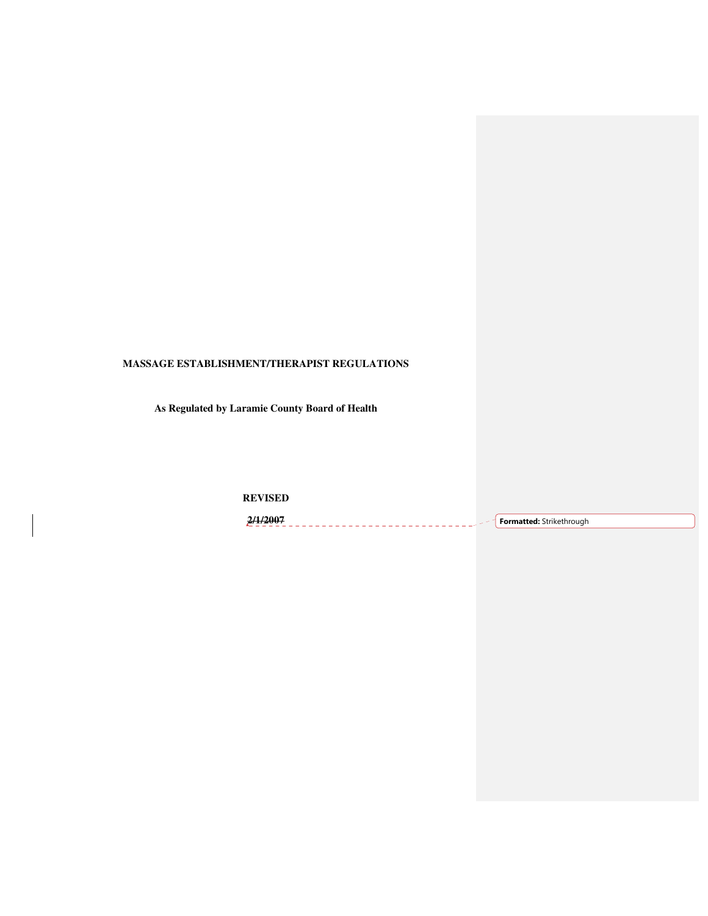# **MASSAGE ESTABLISHMENT/THERAPIST REGULATIONS**

**As Regulated by Laramie County Board of Health** 

**REVISED** 

**2/1/2007 Formatted:** Strikethrough\_\_\_\_\_\_\_\_\_\_\_\_\_\_\_\_\_\_\_\_\_\_\_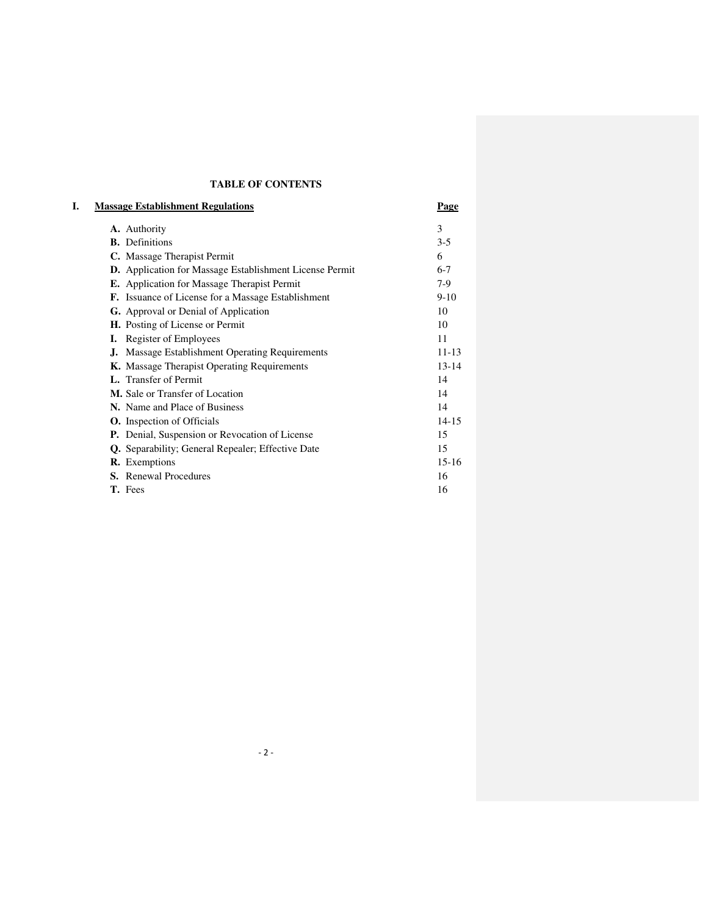## **TABLE OF CONTENTS**

| L.<br><b>Massage Establishment Regulations</b>                 | Page      |
|----------------------------------------------------------------|-----------|
| A. Authority                                                   | 3         |
| <b>B.</b> Definitions                                          | $3-5$     |
| C. Massage Therapist Permit                                    | 6         |
| <b>D.</b> Application for Massage Establishment License Permit | $6 - 7$   |
| <b>E.</b> Application for Massage Therapist Permit             | $7-9$     |
| <b>F.</b> Issuance of License for a Massage Establishment      | $9-10$    |
| <b>G.</b> Approval or Denial of Application                    | 10        |
| <b>H.</b> Posting of License or Permit                         | 10        |
| <b>I.</b> Register of Employees                                | 11        |
| J. Massage Establishment Operating Requirements                | $11 - 13$ |
| <b>K.</b> Massage Therapist Operating Requirements             | $13 - 14$ |
| <b>L.</b> Transfer of Permit                                   | 14        |
| M. Sale or Transfer of Location                                | 14        |
| N. Name and Place of Business                                  | 14        |
| <b>O.</b> Inspection of Officials                              | $14 - 15$ |
| P. Denial, Suspension or Revocation of License                 | 15        |
| Q. Separability; General Repealer; Effective Date              | 15        |
| <b>R.</b> Exemptions                                           | $15 - 16$ |
| <b>S.</b> Renewal Procedures                                   | 16        |
| T. Fees                                                        | 16        |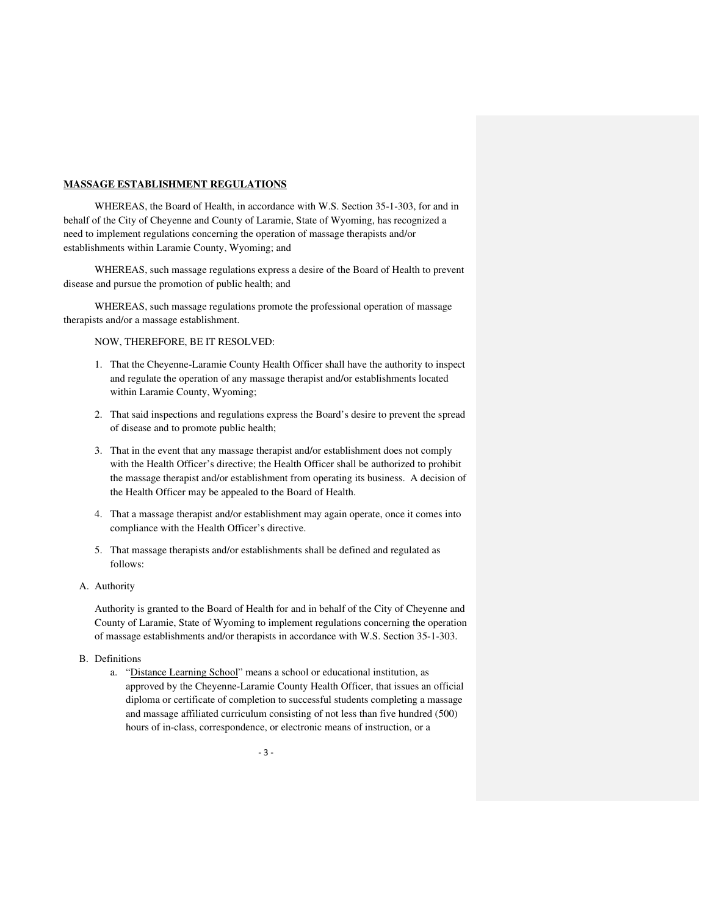#### **MASSAGE ESTABLISHMENT REGULATIONS**

WHEREAS, the Board of Health, in accordance with W.S. Section 35-1-303, for and in behalf of the City of Cheyenne and County of Laramie, State of Wyoming, has recognized a need to implement regulations concerning the operation of massage therapists and/or establishments within Laramie County, Wyoming; and

 WHEREAS, such massage regulations express a desire of the Board of Health to prevent disease and pursue the promotion of public health; and

 WHEREAS, such massage regulations promote the professional operation of massage therapists and/or a massage establishment.

NOW, THEREFORE, BE IT RESOLVED:

- 1. That the Cheyenne-Laramie County Health Officer shall have the authority to inspect and regulate the operation of any massage therapist and/or establishments located within Laramie County, Wyoming;
- 2. That said inspections and regulations express the Board's desire to prevent the spread of disease and to promote public health;
- 3. That in the event that any massage therapist and/or establishment does not comply with the Health Officer's directive; the Health Officer shall be authorized to prohibit the massage therapist and/or establishment from operating its business. A decision of the Health Officer may be appealed to the Board of Health.
- 4. That a massage therapist and/or establishment may again operate, once it comes into compliance with the Health Officer's directive.
- 5. That massage therapists and/or establishments shall be defined and regulated as follows:
- A. Authority

Authority is granted to the Board of Health for and in behalf of the City of Cheyenne and County of Laramie, State of Wyoming to implement regulations concerning the operation of massage establishments and/or therapists in accordance with W.S. Section 35-1-303.

- B. Definitions
	- a. "Distance Learning School" means a school or educational institution, as approved by the Cheyenne-Laramie County Health Officer, that issues an official diploma or certificate of completion to successful students completing a massage and massage affiliated curriculum consisting of not less than five hundred (500) hours of in-class, correspondence, or electronic means of instruction, or a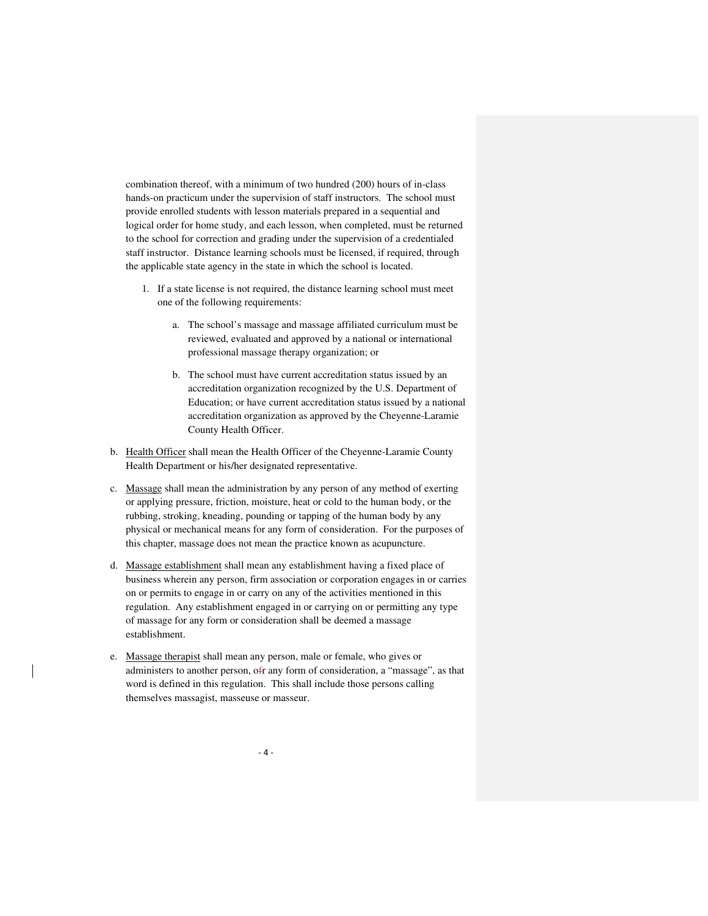combination thereof, with a minimum of two hundred (200) hours of in-class hands-on practicum under the supervision of staff instructors. The school must provide enrolled students with lesson materials prepared in a sequential and logical order for home study, and each lesson, when completed, must be returned to the school for correction and grading under the supervision of a credentialed staff instructor. Distance learning schools must be licensed, if required, through the applicable state agency in the state in which the school is located.

- 1. If a state license is not required, the distance learning school must meet one of the following requirements:
	- a. The school's massage and massage affiliated curriculum must be reviewed, evaluated and approved by a national or international professional massage therapy organization; or
	- b. The school must have current accreditation status issued by an accreditation organization recognized by the U.S. Department of Education; or have current accreditation status issued by a national accreditation organization as approved by the Cheyenne-Laramie County Health Officer.
- b. Health Officer shall mean the Health Officer of the Cheyenne-Laramie County Health Department or his/her designated representative.
- c. Massage shall mean the administration by any person of any method of exerting or applying pressure, friction, moisture, heat or cold to the human body, or the rubbing, stroking, kneading, pounding or tapping of the human body by any physical or mechanical means for any form of consideration. For the purposes of this chapter, massage does not mean the practice known as acupuncture.
- d. Massage establishment shall mean any establishment having a fixed place of business wherein any person, firm association or corporation engages in or carries on or permits to engage in or carry on any of the activities mentioned in this regulation. Any establishment engaged in or carrying on or permitting any type of massage for any form or consideration shall be deemed a massage establishment.
- e. Massage therapist shall mean any person, male or female, who gives or administers to another person, ofr any form of consideration, a "massage", as that word is defined in this regulation. This shall include those persons calling themselves massagist, masseuse or masseur.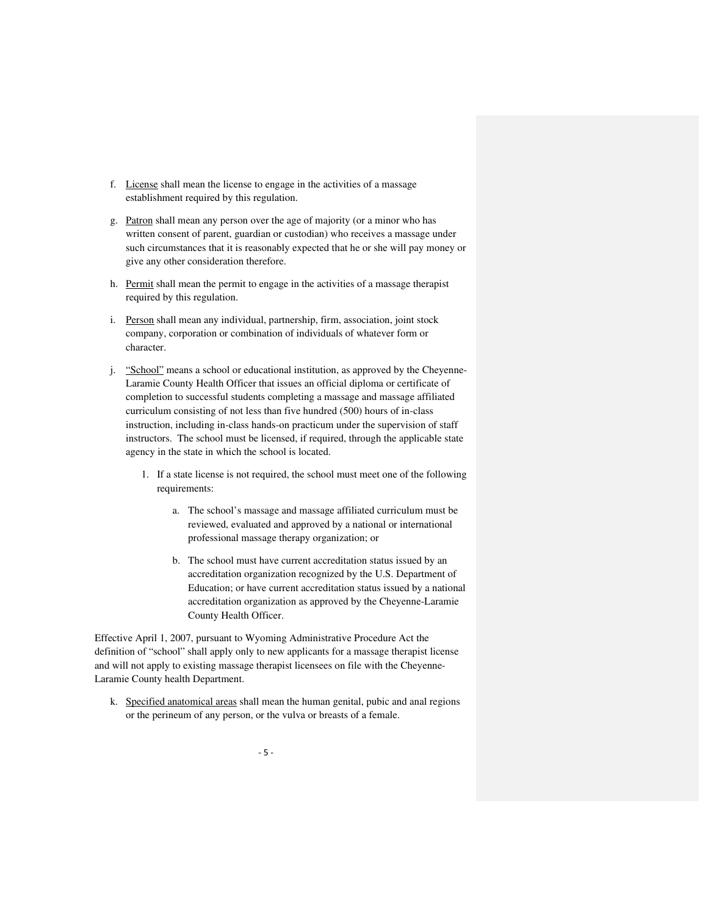- f. License shall mean the license to engage in the activities of a massage establishment required by this regulation.
- g. Patron shall mean any person over the age of majority (or a minor who has written consent of parent, guardian or custodian) who receives a massage under such circumstances that it is reasonably expected that he or she will pay money or give any other consideration therefore.
- h. Permit shall mean the permit to engage in the activities of a massage therapist required by this regulation.
- i. Person shall mean any individual, partnership, firm, association, joint stock company, corporation or combination of individuals of whatever form or character.
- j. "School" means a school or educational institution, as approved by the Cheyenne-Laramie County Health Officer that issues an official diploma or certificate of completion to successful students completing a massage and massage affiliated curriculum consisting of not less than five hundred (500) hours of in-class instruction, including in-class hands-on practicum under the supervision of staff instructors. The school must be licensed, if required, through the applicable state agency in the state in which the school is located.
	- 1. If a state license is not required, the school must meet one of the following requirements:
		- a. The school's massage and massage affiliated curriculum must be reviewed, evaluated and approved by a national or international professional massage therapy organization; or
		- b. The school must have current accreditation status issued by an accreditation organization recognized by the U.S. Department of Education; or have current accreditation status issued by a national accreditation organization as approved by the Cheyenne-Laramie County Health Officer.

Effective April 1, 2007, pursuant to Wyoming Administrative Procedure Act the definition of "school" shall apply only to new applicants for a massage therapist license and will not apply to existing massage therapist licensees on file with the Cheyenne-Laramie County health Department.

k. Specified anatomical areas shall mean the human genital, pubic and anal regions or the perineum of any person, or the vulva or breasts of a female.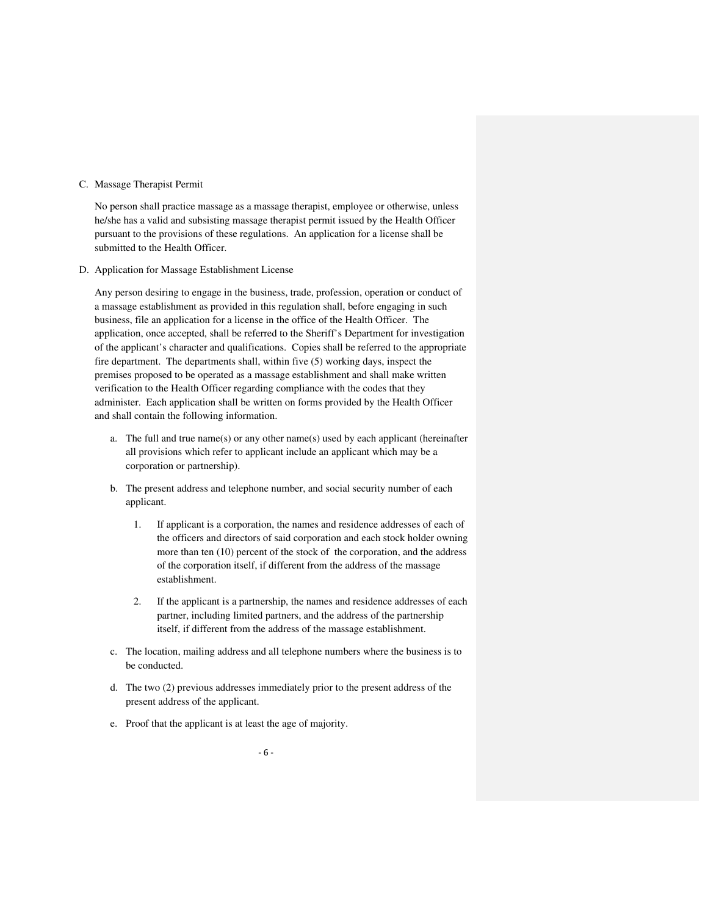### C. Massage Therapist Permit

No person shall practice massage as a massage therapist, employee or otherwise, unless he/she has a valid and subsisting massage therapist permit issued by the Health Officer pursuant to the provisions of these regulations. An application for a license shall be submitted to the Health Officer.

D. Application for Massage Establishment License

Any person desiring to engage in the business, trade, profession, operation or conduct of a massage establishment as provided in this regulation shall, before engaging in such business, file an application for a license in the office of the Health Officer. The application, once accepted, shall be referred to the Sheriff's Department for investigation of the applicant's character and qualifications. Copies shall be referred to the appropriate fire department. The departments shall, within five (5) working days, inspect the premises proposed to be operated as a massage establishment and shall make written verification to the Health Officer regarding compliance with the codes that they administer. Each application shall be written on forms provided by the Health Officer and shall contain the following information.

- a. The full and true name(s) or any other name(s) used by each applicant (hereinafter all provisions which refer to applicant include an applicant which may be a corporation or partnership).
- b. The present address and telephone number, and social security number of each applicant.
	- 1. If applicant is a corporation, the names and residence addresses of each of the officers and directors of said corporation and each stock holder owning more than ten (10) percent of the stock of the corporation, and the address of the corporation itself, if different from the address of the massage establishment.
	- 2. If the applicant is a partnership, the names and residence addresses of each partner, including limited partners, and the address of the partnership itself, if different from the address of the massage establishment.
- c. The location, mailing address and all telephone numbers where the business is to be conducted.
- d. The two (2) previous addresses immediately prior to the present address of the present address of the applicant.
- e. Proof that the applicant is at least the age of majority.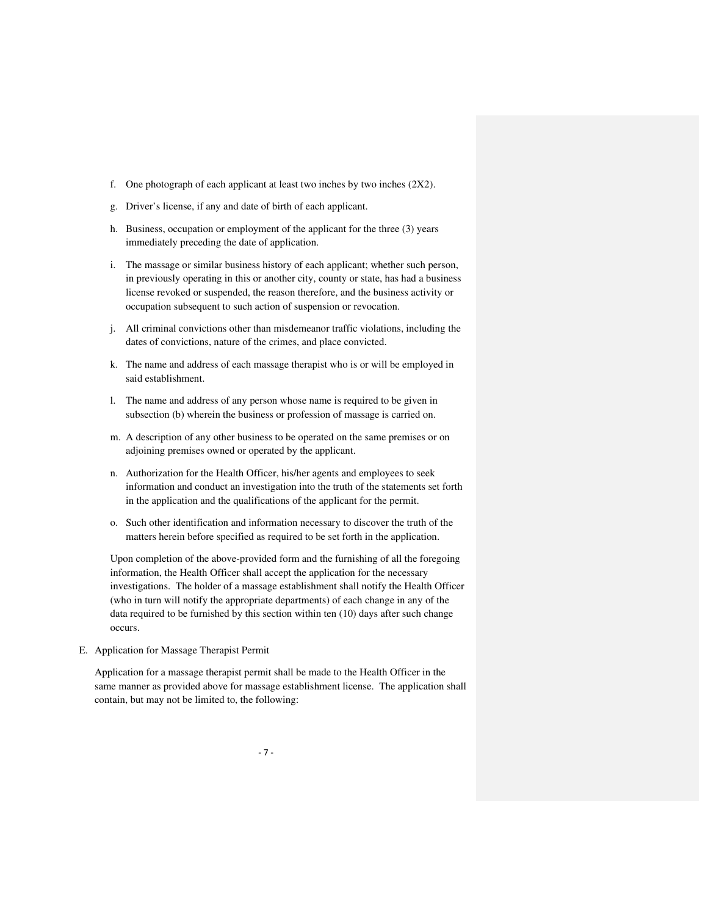- f. One photograph of each applicant at least two inches by two inches  $(2X2)$ .
- g. Driver's license, if any and date of birth of each applicant.
- h. Business, occupation or employment of the applicant for the three (3) years immediately preceding the date of application.
- i. The massage or similar business history of each applicant; whether such person, in previously operating in this or another city, county or state, has had a business license revoked or suspended, the reason therefore, and the business activity or occupation subsequent to such action of suspension or revocation.
- j. All criminal convictions other than misdemeanor traffic violations, including the dates of convictions, nature of the crimes, and place convicted.
- k. The name and address of each massage therapist who is or will be employed in said establishment.
- l. The name and address of any person whose name is required to be given in subsection (b) wherein the business or profession of massage is carried on.
- m. A description of any other business to be operated on the same premises or on adjoining premises owned or operated by the applicant.
- n. Authorization for the Health Officer, his/her agents and employees to seek information and conduct an investigation into the truth of the statements set forth in the application and the qualifications of the applicant for the permit.
- o. Such other identification and information necessary to discover the truth of the matters herein before specified as required to be set forth in the application.

Upon completion of the above-provided form and the furnishing of all the foregoing information, the Health Officer shall accept the application for the necessary investigations. The holder of a massage establishment shall notify the Health Officer (who in turn will notify the appropriate departments) of each change in any of the data required to be furnished by this section within ten (10) days after such change occurs.

E. Application for Massage Therapist Permit

Application for a massage therapist permit shall be made to the Health Officer in the same manner as provided above for massage establishment license. The application shall contain, but may not be limited to, the following: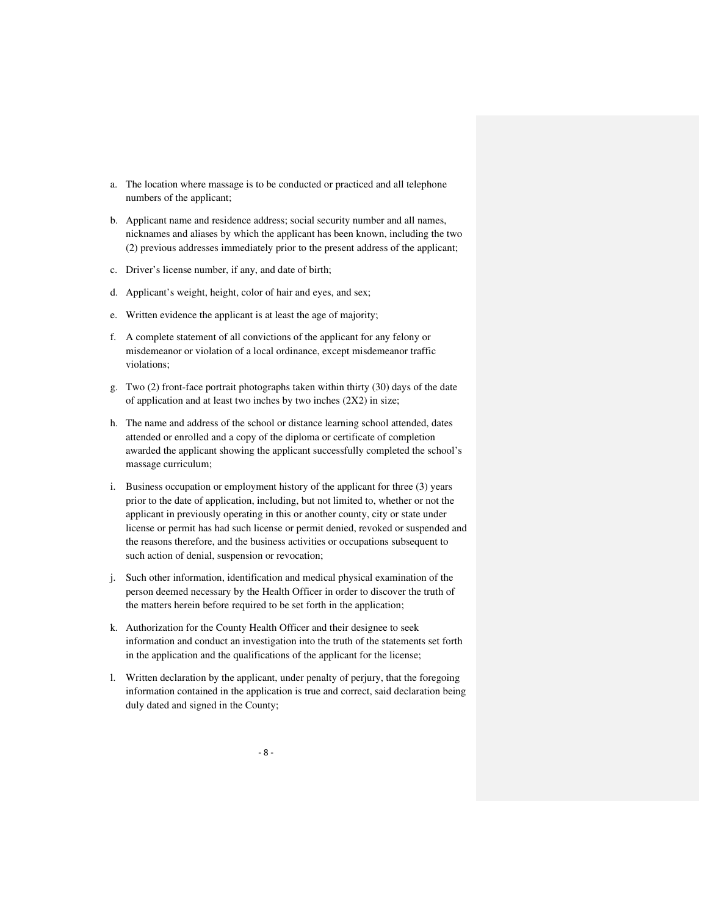- a. The location where massage is to be conducted or practiced and all telephone numbers of the applicant;
- b. Applicant name and residence address; social security number and all names, nicknames and aliases by which the applicant has been known, including the two (2) previous addresses immediately prior to the present address of the applicant;
- c. Driver's license number, if any, and date of birth;
- d. Applicant's weight, height, color of hair and eyes, and sex;
- e. Written evidence the applicant is at least the age of majority;
- f. A complete statement of all convictions of the applicant for any felony or misdemeanor or violation of a local ordinance, except misdemeanor traffic violations;
- g. Two (2) front-face portrait photographs taken within thirty (30) days of the date of application and at least two inches by two inches (2X2) in size;
- h. The name and address of the school or distance learning school attended, dates attended or enrolled and a copy of the diploma or certificate of completion awarded the applicant showing the applicant successfully completed the school's massage curriculum;
- i. Business occupation or employment history of the applicant for three (3) years prior to the date of application, including, but not limited to, whether or not the applicant in previously operating in this or another county, city or state under license or permit has had such license or permit denied, revoked or suspended and the reasons therefore, and the business activities or occupations subsequent to such action of denial, suspension or revocation;
- j. Such other information, identification and medical physical examination of the person deemed necessary by the Health Officer in order to discover the truth of the matters herein before required to be set forth in the application;
- k. Authorization for the County Health Officer and their designee to seek information and conduct an investigation into the truth of the statements set forth in the application and the qualifications of the applicant for the license;
- l. Written declaration by the applicant, under penalty of perjury, that the foregoing information contained in the application is true and correct, said declaration being duly dated and signed in the County;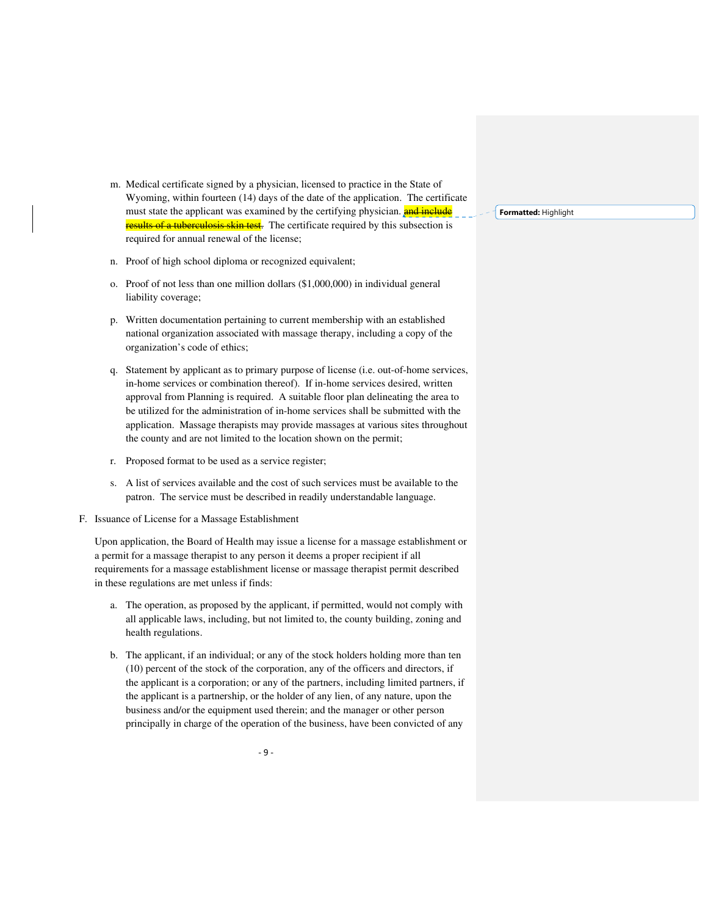- m. Medical certificate signed by a physician, licensed to practice in the State of Wyoming, within fourteen (14) days of the date of the application. The certificate must state the applicant was examined by the certifying physician. **and include** of a tuberculosis skin test. The certificate required by this subsection is required for annual renewal of the license;
- n. Proof of high school diploma or recognized equivalent;
- o. Proof of not less than one million dollars (\$1,000,000) in individual general liability coverage;
- p. Written documentation pertaining to current membership with an established national organization associated with massage therapy, including a copy of the organization's code of ethics;
- q. Statement by applicant as to primary purpose of license (i.e. out-of-home services, in-home services or combination thereof). If in-home services desired, written approval from Planning is required. A suitable floor plan delineating the area to be utilized for the administration of in-home services shall be submitted with the application. Massage therapists may provide massages at various sites throughout the county and are not limited to the location shown on the permit;
- r. Proposed format to be used as a service register;
- s. A list of services available and the cost of such services must be available to the patron. The service must be described in readily understandable language.
- F. Issuance of License for a Massage Establishment

Upon application, the Board of Health may issue a license for a massage establishment or a permit for a massage therapist to any person it deems a proper recipient if all requirements for a massage establishment license or massage therapist permit described in these regulations are met unless if finds:

- a. The operation, as proposed by the applicant, if permitted, would not comply with all applicable laws, including, but not limited to, the county building, zoning and health regulations.
- b. The applicant, if an individual; or any of the stock holders holding more than ten (10) percent of the stock of the corporation, any of the officers and directors, if the applicant is a corporation; or any of the partners, including limited partners, if the applicant is a partnership, or the holder of any lien, of any nature, upon the business and/or the equipment used therein; and the manager or other person principally in charge of the operation of the business, have been convicted of any

**Formatted:** Highlight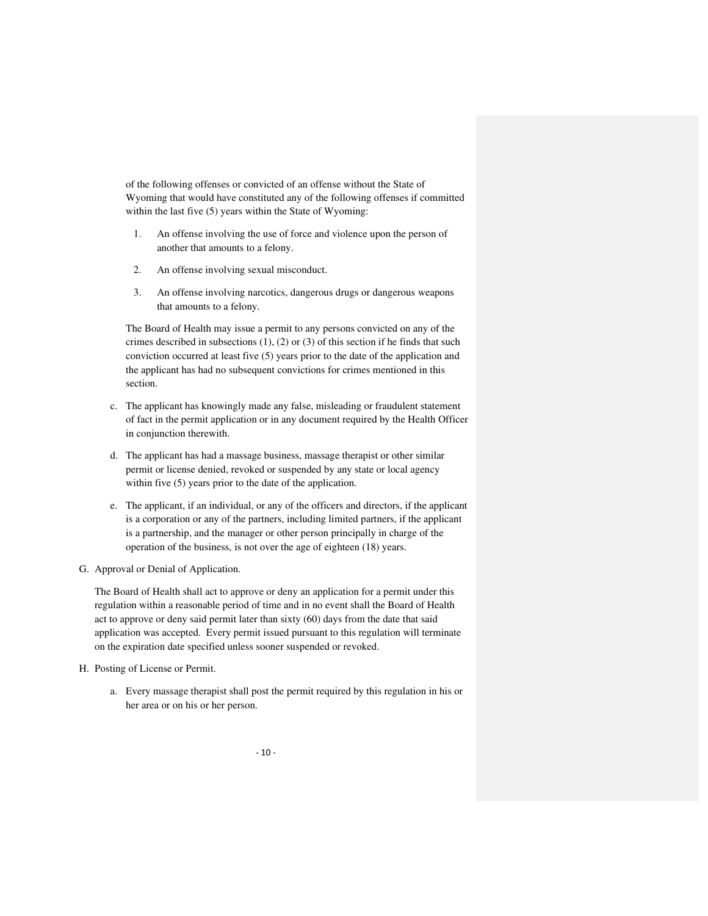of the following offenses or convicted of an offense without the State of Wyoming that would have constituted any of the following offenses if committed within the last five (5) years within the State of Wyoming:

- 1. An offense involving the use of force and violence upon the person of another that amounts to a felony.
- 2. An offense involving sexual misconduct.
- 3. An offense involving narcotics, dangerous drugs or dangerous weapons that amounts to a felony.

The Board of Health may issue a permit to any persons convicted on any of the crimes described in subsections  $(1)$ ,  $(2)$  or  $(3)$  of this section if he finds that such conviction occurred at least five (5) years prior to the date of the application and the applicant has had no subsequent convictions for crimes mentioned in this section.

- c. The applicant has knowingly made any false, misleading or fraudulent statement of fact in the permit application or in any document required by the Health Officer in conjunction therewith.
- d. The applicant has had a massage business, massage therapist or other similar permit or license denied, revoked or suspended by any state or local agency within five (5) years prior to the date of the application.
- e. The applicant, if an individual, or any of the officers and directors, if the applicant is a corporation or any of the partners, including limited partners, if the applicant is a partnership, and the manager or other person principally in charge of the operation of the business, is not over the age of eighteen (18) years.
- G. Approval or Denial of Application.

The Board of Health shall act to approve or deny an application for a permit under this regulation within a reasonable period of time and in no event shall the Board of Health act to approve or deny said permit later than sixty (60) days from the date that said application was accepted. Every permit issued pursuant to this regulation will terminate on the expiration date specified unless sooner suspended or revoked.

- H. Posting of License or Permit.
	- a. Every massage therapist shall post the permit required by this regulation in his or her area or on his or her person.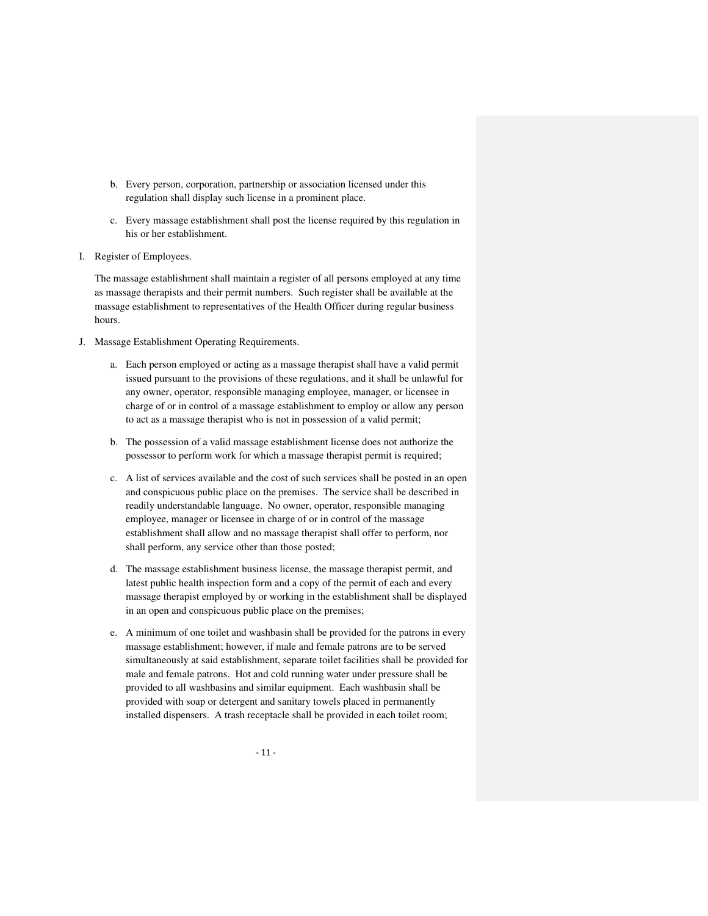- b. Every person, corporation, partnership or association licensed under this regulation shall display such license in a prominent place.
- c. Every massage establishment shall post the license required by this regulation in his or her establishment.
- I. Register of Employees.

The massage establishment shall maintain a register of all persons employed at any time as massage therapists and their permit numbers. Such register shall be available at the massage establishment to representatives of the Health Officer during regular business hours.

- J. Massage Establishment Operating Requirements.
	- a. Each person employed or acting as a massage therapist shall have a valid permit issued pursuant to the provisions of these regulations, and it shall be unlawful for any owner, operator, responsible managing employee, manager, or licensee in charge of or in control of a massage establishment to employ or allow any person to act as a massage therapist who is not in possession of a valid permit;
	- b. The possession of a valid massage establishment license does not authorize the possessor to perform work for which a massage therapist permit is required;
	- c. A list of services available and the cost of such services shall be posted in an open and conspicuous public place on the premises. The service shall be described in readily understandable language. No owner, operator, responsible managing employee, manager or licensee in charge of or in control of the massage establishment shall allow and no massage therapist shall offer to perform, nor shall perform, any service other than those posted;
	- d. The massage establishment business license, the massage therapist permit, and latest public health inspection form and a copy of the permit of each and every massage therapist employed by or working in the establishment shall be displayed in an open and conspicuous public place on the premises;
	- e. A minimum of one toilet and washbasin shall be provided for the patrons in every massage establishment; however, if male and female patrons are to be served simultaneously at said establishment, separate toilet facilities shall be provided for male and female patrons. Hot and cold running water under pressure shall be provided to all washbasins and similar equipment. Each washbasin shall be provided with soap or detergent and sanitary towels placed in permanently installed dispensers. A trash receptacle shall be provided in each toilet room;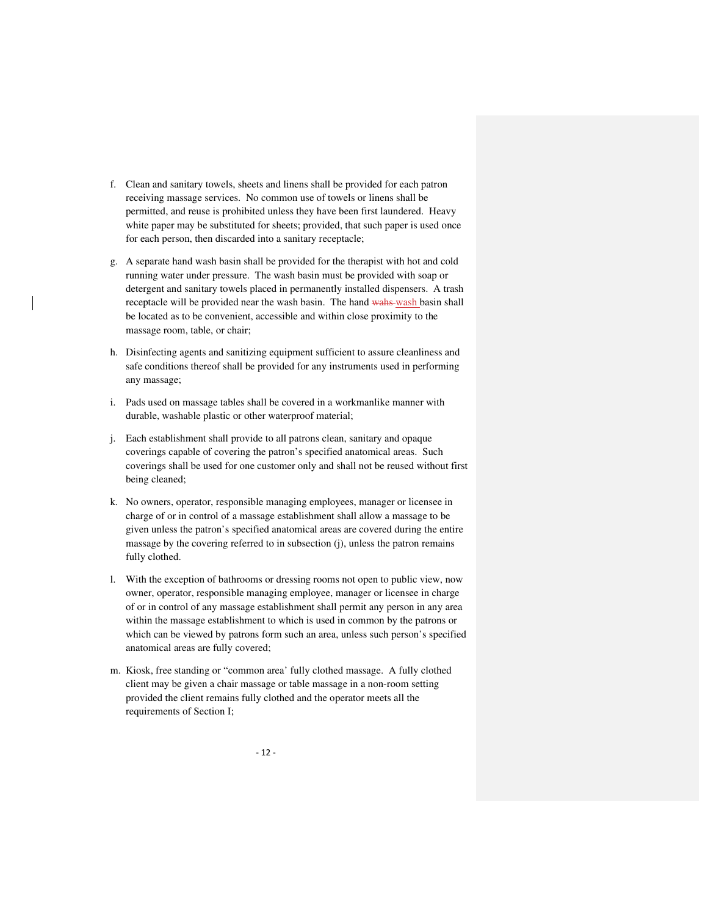- f. Clean and sanitary towels, sheets and linens shall be provided for each patron receiving massage services. No common use of towels or linens shall be permitted, and reuse is prohibited unless they have been first laundered. Heavy white paper may be substituted for sheets; provided, that such paper is used once for each person, then discarded into a sanitary receptacle;
- g. A separate hand wash basin shall be provided for the therapist with hot and cold running water under pressure. The wash basin must be provided with soap or detergent and sanitary towels placed in permanently installed dispensers. A trash receptacle will be provided near the wash basin. The hand wahs wash basin shall be located as to be convenient, accessible and within close proximity to the massage room, table, or chair;
- h. Disinfecting agents and sanitizing equipment sufficient to assure cleanliness and safe conditions thereof shall be provided for any instruments used in performing any massage;
- i. Pads used on massage tables shall be covered in a workmanlike manner with durable, washable plastic or other waterproof material;
- j. Each establishment shall provide to all patrons clean, sanitary and opaque coverings capable of covering the patron's specified anatomical areas. Such coverings shall be used for one customer only and shall not be reused without first being cleaned;
- k. No owners, operator, responsible managing employees, manager or licensee in charge of or in control of a massage establishment shall allow a massage to be given unless the patron's specified anatomical areas are covered during the entire massage by the covering referred to in subsection (j), unless the patron remains fully clothed.
- l. With the exception of bathrooms or dressing rooms not open to public view, now owner, operator, responsible managing employee, manager or licensee in charge of or in control of any massage establishment shall permit any person in any area within the massage establishment to which is used in common by the patrons or which can be viewed by patrons form such an area, unless such person's specified anatomical areas are fully covered;
- m. Kiosk, free standing or "common area' fully clothed massage. A fully clothed client may be given a chair massage or table massage in a non-room setting provided the client remains fully clothed and the operator meets all the requirements of Section I;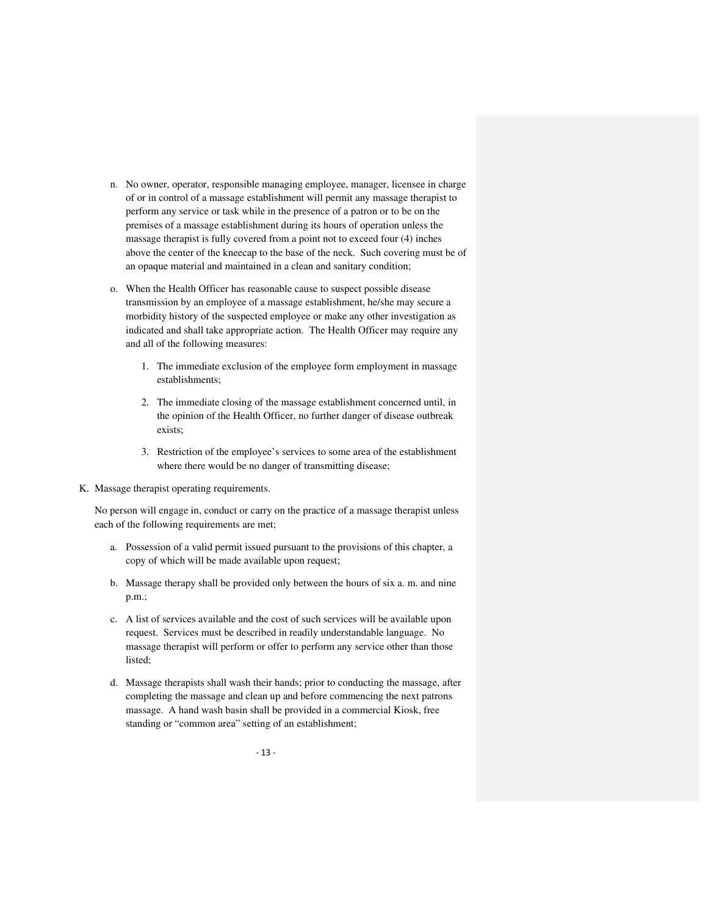- n. No owner, operator, responsible managing employee, manager, licensee in charge of or in control of a massage establishment will permit any massage therapist to perform any service or task while in the presence of a patron or to be on the premises of a massage establishment during its hours of operation unless the massage therapist is fully covered from a point not to exceed four (4) inches above the center of the kneecap to the base of the neck. Such covering must be of an opaque material and maintained in a clean and sanitary condition;
- o. When the Health Officer has reasonable cause to suspect possible disease transmission by an employee of a massage establishment, he/she may secure a morbidity history of the suspected employee or make any other investigation as indicated and shall take appropriate action. The Health Officer may require any and all of the following measures:
	- 1. The immediate exclusion of the employee form employment in massage establishments;
	- 2. The immediate closing of the massage establishment concerned until, in the opinion of the Health Officer, no further danger of disease outbreak exists;
	- 3. Restriction of the employee's services to some area of the establishment where there would be no danger of transmitting disease;
- K. Massage therapist operating requirements.

No person will engage in, conduct or carry on the practice of a massage therapist unless each of the following requirements are met;

- a. Possession of a valid permit issued pursuant to the provisions of this chapter, a copy of which will be made available upon request;
- b. Massage therapy shall be provided only between the hours of six a. m. and nine p.m.;
- c. A list of services available and the cost of such services will be available upon request. Services must be described in readily understandable language. No massage therapist will perform or offer to perform any service other than those listed;
- d. Massage therapists shall wash their hands; prior to conducting the massage, after completing the massage and clean up and before commencing the next patrons massage. A hand wash basin shall be provided in a commercial Kiosk, free standing or "common area" setting of an establishment;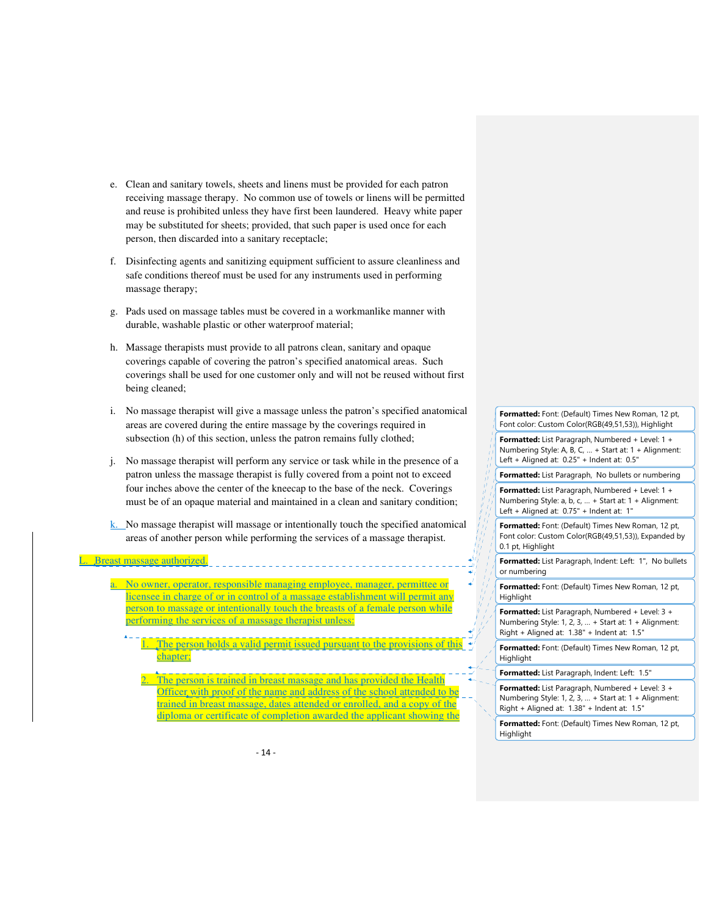- e. Clean and sanitary towels, sheets and linens must be provided for each patron receiving massage therapy. No common use of towels or linens will be permitted and reuse is prohibited unless they have first been laundered. Heavy white paper may be substituted for sheets; provided, that such paper is used once for each person, then discarded into a sanitary receptacle;
- f. Disinfecting agents and sanitizing equipment sufficient to assure cleanliness and safe conditions thereof must be used for any instruments used in performing massage therapy;
- g. Pads used on massage tables must be covered in a workmanlike manner with durable, washable plastic or other waterproof material;
- h. Massage therapists must provide to all patrons clean, sanitary and opaque coverings capable of covering the patron's specified anatomical areas. Such coverings shall be used for one customer only and will not be reused without first being cleaned;
- i. No massage therapist will give a massage unless the patron's specified anatomical areas are covered during the entire massage by the coverings required in subsection (h) of this section, unless the patron remains fully clothed;
- j. No massage therapist will perform any service or task while in the presence of a patron unless the massage therapist is fully covered from a point not to exceed four inches above the center of the kneecap to the base of the neck. Coverings must be of an opaque material and maintained in a clean and sanitary condition;
- k. No massage therapist will massage or intentionally touch the specified anatomical areas of another person while performing the services of a massage therapist.

#### L. Breast massage authorized.

- No owner, operator, responsible managing employee, manager, permittee or licensee in charge of or in control of a massage establishment will permit any person to massage or intentionally touch the breasts of a female person while performing the services of a massage therapist unless:
	- The person holds a valid permit issued pursuant to the provisions of the chapter;
		- person is trained in breast massage and has provided Officer with proof of the name and address of the school attended to be trained in breast massage, dates attended or enrolled, and a copy of the diploma or certificate of completion awarded the applicant showing the

**Formatted:** Font: (Default) Times New Roman, 12 pt, Font color: Custom Color(RGB(49,51,53)), Highlight **Formatted:** List Paragraph, Numbered + Level: 1 + Numbering Style: A, B, C, … + Start at: 1 + Alignment: Left + Aligned at: 0.25" + Indent at: 0.5" **Formatted:** List Paragraph, No bullets or numbering **Formatted:** List Paragraph, Numbered + Level: 1 + Numbering Style: a, b, c, … + Start at: 1 + Alignment: Left + Aligned at: 0.75" + Indent at: 1" **Formatted:** Font: (Default) Times New Roman, 12 pt, Font color: Custom Color(RGB(49,51,53)), Expanded by 0.1 pt, Highlight **Formatted:** List Paragraph, Indent: Left: 1", No bullets or numbering **Formatted:** Font: (Default) Times New Roman, 12 pt, Highlight **Formatted:** List Paragraph, Numbered + Level: 3 + Numbering Style: 1, 2, 3, … + Start at: 1 + Alignment: Right + Aligned at: 1.38" + Indent at: 1.5" **Formatted:** Font: (Default) Times New Roman, 12 pt, **Highlight Formatted:** List Paragraph, Indent: Left: 1.5" **Formatted:** List Paragraph, Numbered + Level: 3 + Numbering Style: 1, 2, 3, … + Start at: 1 + Alignment: Right + Aligned at: 1.38" + Indent at: 1.5"

**Formatted:** Font: (Default) Times New Roman, 12 pt, **Highlight**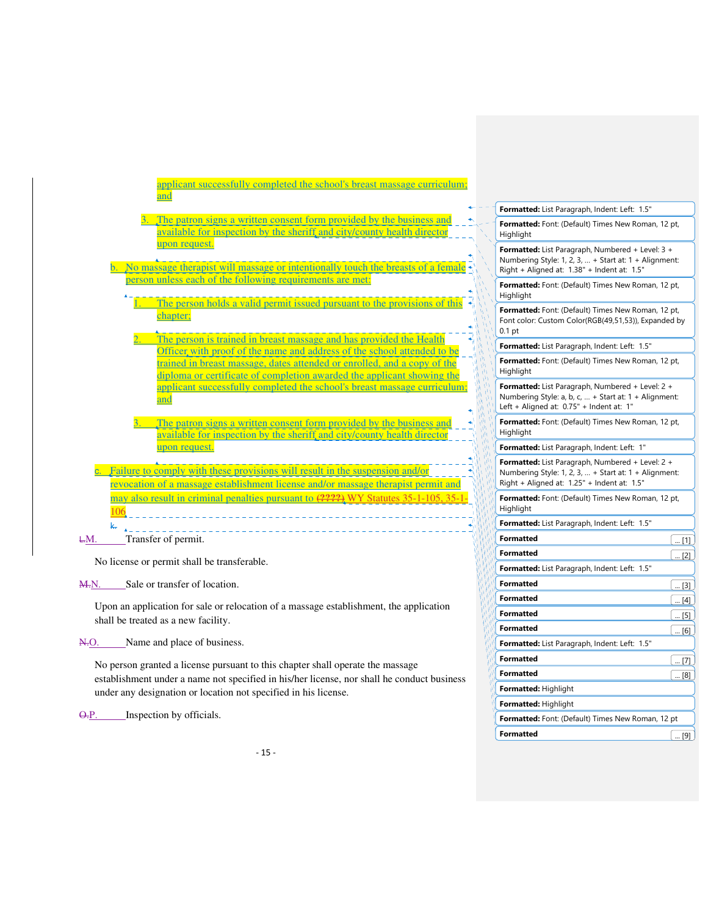|     | applicant successfully completed the school's breast massage curriculum;<br>and                                                                                   |                                                                                                                                                          |     |
|-----|-------------------------------------------------------------------------------------------------------------------------------------------------------------------|----------------------------------------------------------------------------------------------------------------------------------------------------------|-----|
|     |                                                                                                                                                                   | Formatted: List Paragraph, Indent: Left: 1.5"                                                                                                            |     |
|     | The patron signs a written consent form provided by the business and<br>available for inspection by the sheriff and city/county health director                   | Formatted: Font: (Default) Times New Roman, 12 pt,<br>Highlight                                                                                          |     |
|     | upon request.<br>No massage therapist will massage or intentionally touch the breasts of a female                                                                 | Formatted: List Paragraph, Numbered + Level: 3 +<br>Numbering Style: 1, 2, 3,  + Start at: 1 + Alignment:<br>Right + Aligned at: 1.38" + Indent at: 1.5" |     |
|     | person unless each of the following requirements are met:                                                                                                         | Formatted: Font: (Default) Times New Roman, 12 pt,<br>Highlight                                                                                          |     |
|     | The person holds a valid permit issued pursuant to the provisions of this<br>chapter:                                                                             | Formatted: Font: (Default) Times New Roman, 12 pt,<br>Font color: Custom Color(RGB(49,51,53)), Expanded by<br>0.1 <sub>pt</sub>                          |     |
|     | The person is trained in breast massage and has provided the Health<br>Officer, with proof of the name and address of the school attended to be                   | Formatted: List Paragraph, Indent: Left: 1.5"                                                                                                            |     |
|     | trained in breast massage, dates attended or enrolled, and a copy of the<br>diploma or certificate of completion awarded the applicant showing the                | Formatted: Font: (Default) Times New Roman, 12 pt,<br>Highlight                                                                                          |     |
|     | applicant successfully completed the school's breast massage curriculum;<br>and                                                                                   | Formatted: List Paragraph, Numbered + Level: 2 +<br>Numbering Style: a, b, c,  + Start at: 1 + Alignment:<br>Left + Aligned at: 0.75" + Indent at: 1"    |     |
|     | The patron signs a written consent form provided by the business and<br>available for inspection by the sheriff and city/county health director                   | Formatted: Font: (Default) Times New Roman, 12 pt,<br>Highlight                                                                                          |     |
|     | upon request.                                                                                                                                                     | Formatted: List Paragraph, Indent: Left: 1"                                                                                                              |     |
|     | Failure to comply with these provisions will result in the suspension and/or<br>revocation of a massage establishment license and/or massage therapist permit and | Formatted: List Paragraph, Numbered + Level: 2 +<br>Numbering Style: 1, 2, 3,  + Start at: 1 + Alignment:<br>Right + Aligned at: 1.25" + Indent at: 1.5" |     |
|     | may also result in criminal penalties pursuant to (2222) WY Statutes 35-1-105, 35-1-<br>106                                                                       | Formatted: Font: (Default) Times New Roman, 12 pt,<br>Highlight                                                                                          |     |
|     | k.                                                                                                                                                                | Formatted: List Paragraph, Indent: Left: 1.5"                                                                                                            |     |
| ŁМ. | Transfer of permit.                                                                                                                                               | <b>Formatted</b>                                                                                                                                         | [1] |
|     |                                                                                                                                                                   | <b>Formatted</b>                                                                                                                                         | [2] |
|     | No license or permit shall be transferable.                                                                                                                       | Formatted: List Paragraph, Indent: Left: 1.5"                                                                                                            |     |
|     |                                                                                                                                                                   |                                                                                                                                                          |     |

**Formatted** ... **Formatted** ... **Formatted** ... **Formatted** ... **Formatted** ... **Formatted** ... **Formatted** ... **Formatted** ... **Formatted** ... **Formatted** ... **Formatted** ... **Formatted** ... **Formatted** ... **Formatted** .. **Formatted**  $\begin{bmatrix} \dots [4] \end{bmatrix}$ **Formatted**  $\boxed{... [5]}$ **Formatted**  $\boxed{... [6]}$ 

**Formatted**  $\boxed{... [7]}$ **Formatted**  $\boxed{... [8]}$ 

**Formatted:** Font: (Default) Times New Roman, 12 pt **Formatted**  $\boxed{... [9]}$ 

**Formatted:** List Paragraph, Indent: Left: 1.5"

**Formatted:** Highlight **Formatted:** Highlight

M.N. Sale or transfer of location.

Upon an application for sale or relocation of a massage establishment, the application shall be treated as a new facility.

N.O. Name and place of business.

No person granted a license pursuant to this chapter shall operate the massage establishment under a name not specified in his/her license, nor shall he conduct business under any designation or location not specified in his license.

O.P. Inspection by officials.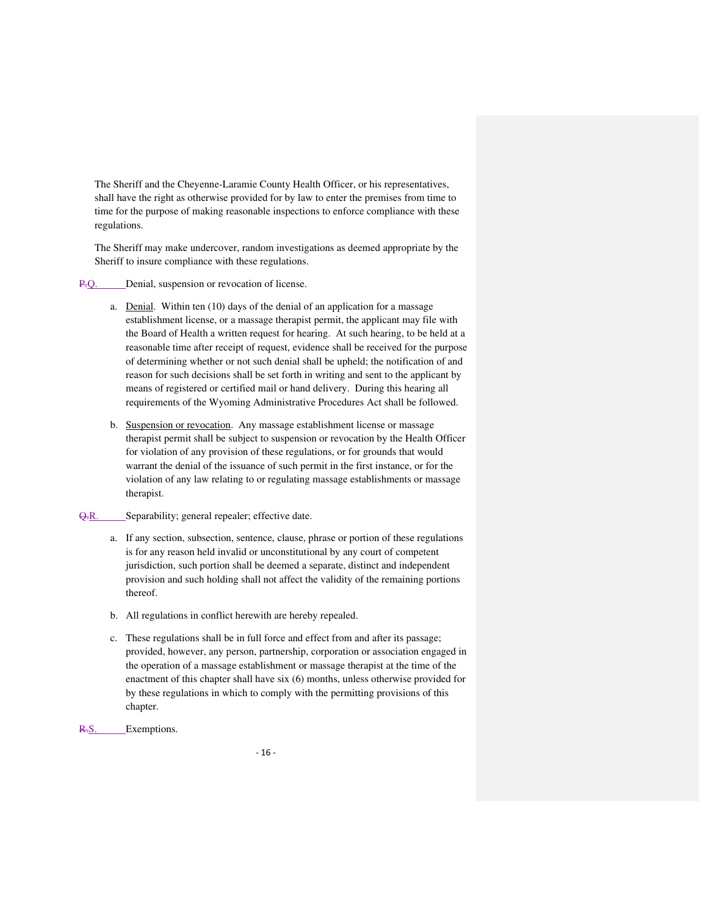The Sheriff and the Cheyenne-Laramie County Health Officer, or his representatives, shall have the right as otherwise provided for by law to enter the premises from time to time for the purpose of making reasonable inspections to enforce compliance with these regulations.

The Sheriff may make undercover, random investigations as deemed appropriate by the Sheriff to insure compliance with these regulations.

#### P.Q. Denial, suspension or revocation of license.

- a. Denial. Within ten (10) days of the denial of an application for a massage establishment license, or a massage therapist permit, the applicant may file with the Board of Health a written request for hearing. At such hearing, to be held at a reasonable time after receipt of request, evidence shall be received for the purpose of determining whether or not such denial shall be upheld; the notification of and reason for such decisions shall be set forth in writing and sent to the applicant by means of registered or certified mail or hand delivery. During this hearing all requirements of the Wyoming Administrative Procedures Act shall be followed.
- b. Suspension or revocation. Any massage establishment license or massage therapist permit shall be subject to suspension or revocation by the Health Officer for violation of any provision of these regulations, or for grounds that would warrant the denial of the issuance of such permit in the first instance, or for the violation of any law relating to or regulating massage establishments or massage therapist.
- Q.R. Separability; general repealer; effective date.
	- a. If any section, subsection, sentence, clause, phrase or portion of these regulations is for any reason held invalid or unconstitutional by any court of competent jurisdiction, such portion shall be deemed a separate, distinct and independent provision and such holding shall not affect the validity of the remaining portions thereof.
	- b. All regulations in conflict herewith are hereby repealed.
	- c. These regulations shall be in full force and effect from and after its passage; provided, however, any person, partnership, corporation or association engaged in the operation of a massage establishment or massage therapist at the time of the enactment of this chapter shall have six (6) months, unless otherwise provided for by these regulations in which to comply with the permitting provisions of this chapter.
- R.S. Exemptions.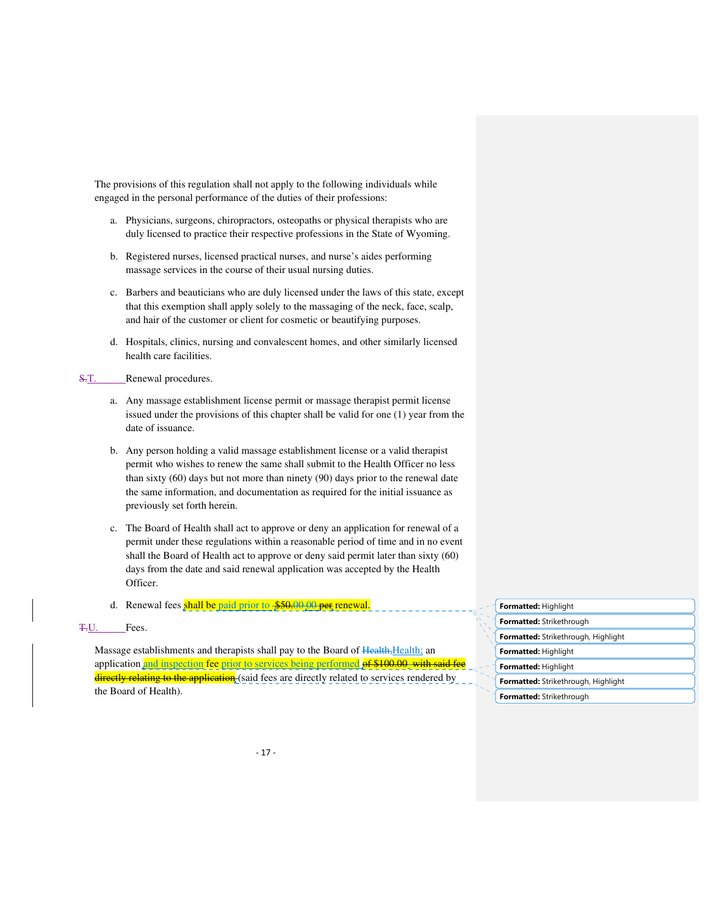The provisions of this regulation shall not apply to the following individuals while engaged in the personal performance of the duties of their professions:

- a. Physicians, surgeons, chiropractors, osteopaths or physical therapists who are duly licensed to practice their respective professions in the State of Wyoming.
- b. Registered nurses, licensed practical nurses, and nurse's aides performing massage services in the course of their usual nursing duties.
- c. Barbers and beauticians who are duly licensed under the laws of this state, except that this exemption shall apply solely to the massaging of the neck, face, scalp, and hair of the customer or client for cosmetic or beautifying purposes.
- d. Hospitals, clinics, nursing and convalescent homes, and other similarly licensed health care facilities.

S.T. Renewal procedures.

- a. Any massage establishment license permit or massage therapist permit license issued under the provisions of this chapter shall be valid for one (1) year from the date of issuance.
- b. Any person holding a valid massage establishment license or a valid therapist permit who wishes to renew the same shall submit to the Health Officer no less than sixty (60) days but not more than ninety (90) days prior to the renewal date the same information, and documentation as required for the initial issuance as previously set forth herein.
- c. The Board of Health shall act to approve or deny an application for renewal of a permit under these regulations within a reasonable period of time and in no event shall the Board of Health act to approve or deny said permit later than sixty (60) days from the date and said renewal application was accepted by the Health Officer.

d. Renewal fees shall be paid prior to \$50.00 00 per renewal.

T.U. Fees.

Massage establishments and therapists shall pay to the Board of Health, Health; an application and inspection fee prior to services being performed of \$100.00 with said directly relating to the application (said fees are directly related to services rendered by the Board of Health).

|  | <b>Formatted:</b> Highlight |  |
|--|-----------------------------|--|
|--|-----------------------------|--|

| Formatted: Strikethrough            |
|-------------------------------------|
| Formatted: Strikethrough, Highlight |
| Formatted: Highlight                |
| Formatted: Highlight                |
| Formatted: Strikethrough, Highlight |
| Formatted: Strikethrough            |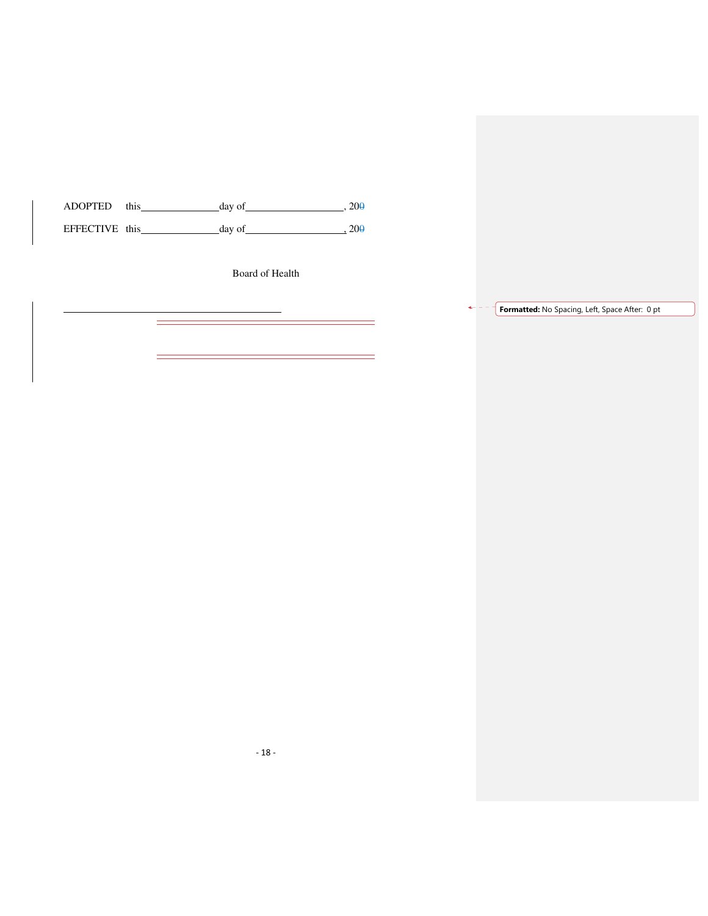$ADOPTED$  this  $day of$  ,  $200$ EFFECTIVE this  $\qquad \qquad$  day of  $\qquad \qquad$  200

 $\overline{a}$ 

 $\overline{a}$ 

 $\overline{a}$ 

Board of Health

 $\overline{\phantom{0}}$ 

 $=$ 

**Formatted:** No Spacing, Left, Space After: 0 pt